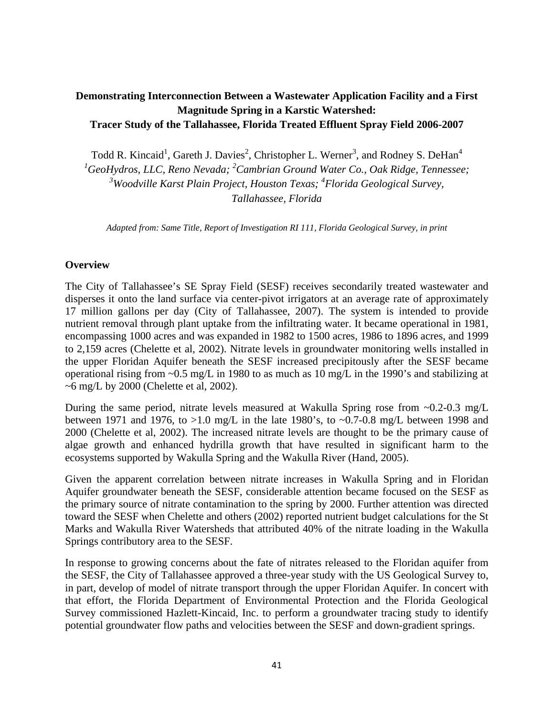## **Demonstrating Interconnection Between a Wastewater Application Facility and a First Magnitude Spring in a Karstic Watershed: Tracer Study of the Tallahassee, Florida Treated Effluent Spray Field 2006-2007**

Todd R. Kincaid<sup>1</sup>, Gareth J. Davies<sup>2</sup>, Christopher L. Werner<sup>3</sup>, and Rodney S. DeHan<sup>4</sup>

<sup>1</sup> GeoHydros, LLC, Reno Nevada; <sup>2</sup> Cambrian Ground Water Co., Oak Ridge, Tennessee; <sup>3</sup>Woodville Karst Plain Project, Houston Texas; <sup>4</sup>Florida Geological Survey,

*Tallahassee, Florida* 

*Adapted from: Same Title, Report of Investigation RI 111, Florida Geological Survey, in print* 

## **Overview**

The City of Tallahassee's SE Spray Field (SESF) receives secondarily treated wastewater and disperses it onto the land surface via center-pivot irrigators at an average rate of approximately 17 million gallons per day (City of Tallahassee, 2007). The system is intended to provide nutrient removal through plant uptake from the infiltrating water. It became operational in 1981, encompassing 1000 acres and was expanded in 1982 to 1500 acres, 1986 to 1896 acres, and 1999 to 2,159 acres (Chelette et al, 2002). Nitrate levels in groundwater monitoring wells installed in the upper Floridan Aquifer beneath the SESF increased precipitously after the SESF became operational rising from ~0.5 mg/L in 1980 to as much as 10 mg/L in the 1990's and stabilizing at  $\sim$ 6 mg/L by 2000 (Chelette et al, 2002).

During the same period, nitrate levels measured at Wakulla Spring rose from ~0.2-0.3 mg/L between 1971 and 1976, to  $>1.0$  mg/L in the late 1980's, to  $\sim 0.7$ -0.8 mg/L between 1998 and 2000 (Chelette et al, 2002). The increased nitrate levels are thought to be the primary cause of algae growth and enhanced hydrilla growth that have resulted in significant harm to the ecosystems supported by Wakulla Spring and the Wakulla River (Hand, 2005).

Given the apparent correlation between nitrate increases in Wakulla Spring and in Floridan Aquifer groundwater beneath the SESF, considerable attention became focused on the SESF as the primary source of nitrate contamination to the spring by 2000. Further attention was directed toward the SESF when Chelette and others (2002) reported nutrient budget calculations for the St Marks and Wakulla River Watersheds that attributed 40% of the nitrate loading in the Wakulla Springs contributory area to the SESF.

In response to growing concerns about the fate of nitrates released to the Floridan aquifer from the SESF, the City of Tallahassee approved a three-year study with the US Geological Survey to, in part, develop of model of nitrate transport through the upper Floridan Aquifer. In concert with that effort, the Florida Department of Environmental Protection and the Florida Geological Survey commissioned Hazlett-Kincaid, Inc. to perform a groundwater tracing study to identify potential groundwater flow paths and velocities between the SESF and down-gradient springs.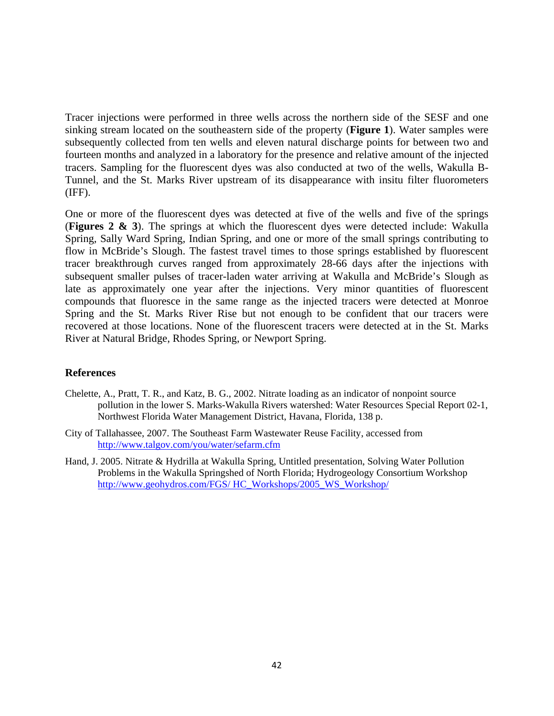Tracer injections were performed in three wells across the northern side of the SESF and one sinking stream located on the southeastern side of the property (**Figure 1**). Water samples were subsequently collected from ten wells and eleven natural discharge points for between two and fourteen months and analyzed in a laboratory for the presence and relative amount of the injected tracers. Sampling for the fluorescent dyes was also conducted at two of the wells, Wakulla B-Tunnel, and the St. Marks River upstream of its disappearance with insitu filter fluorometers (IFF).

One or more of the fluorescent dyes was detected at five of the wells and five of the springs (**Figures 2 & 3**). The springs at which the fluorescent dyes were detected include: Wakulla Spring, Sally Ward Spring, Indian Spring, and one or more of the small springs contributing to flow in McBride's Slough. The fastest travel times to those springs established by fluorescent tracer breakthrough curves ranged from approximately 28-66 days after the injections with subsequent smaller pulses of tracer-laden water arriving at Wakulla and McBride's Slough as late as approximately one year after the injections. Very minor quantities of fluorescent compounds that fluoresce in the same range as the injected tracers were detected at Monroe Spring and the St. Marks River Rise but not enough to be confident that our tracers were recovered at those locations. None of the fluorescent tracers were detected at in the St. Marks River at Natural Bridge, Rhodes Spring, or Newport Spring.

## **References**

- Chelette, A., Pratt, T. R., and Katz, B. G., 2002. Nitrate loading as an indicator of nonpoint source pollution in the lower S. Marks-Wakulla Rivers watershed: Water Resources Special Report 02-1, Northwest Florida Water Management District, Havana, Florida, 138 p.
- City of Tallahassee, 2007. The Southeast Farm Wastewater Reuse Facility, accessed from http://www.talgov.com/you/water/sefarm.cfm
- Hand, J. 2005. Nitrate & Hydrilla at Wakulla Spring, Untitled presentation, Solving Water Pollution Problems in the Wakulla Springshed of North Florida; Hydrogeology Consortium Workshop http://www.geohydros.com/FGS/ HC\_Workshops/2005\_WS\_Workshop/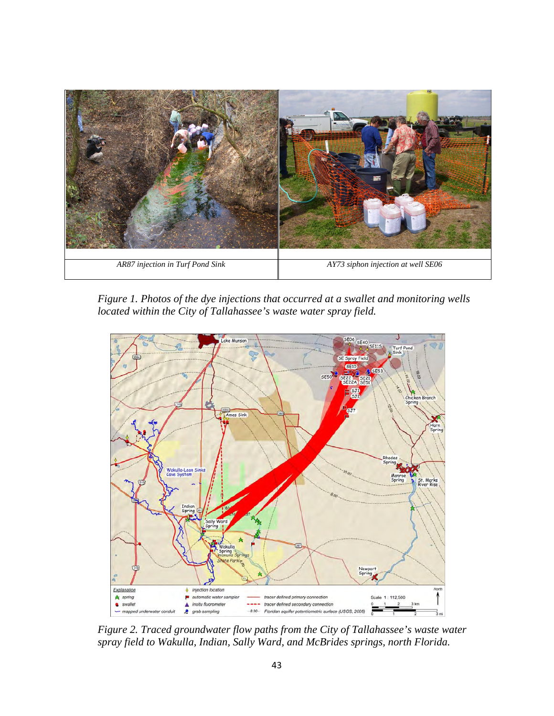

*Figure 1. Photos of the dye injections that occurred at a swallet and monitoring wells located within the City of Tallahassee's waste water spray field.* 



*Figure 2. Traced groundwater flow paths from the City of Tallahassee's waste water spray field to Wakulla, Indian, Sally Ward, and McBrides springs, north Florida.*